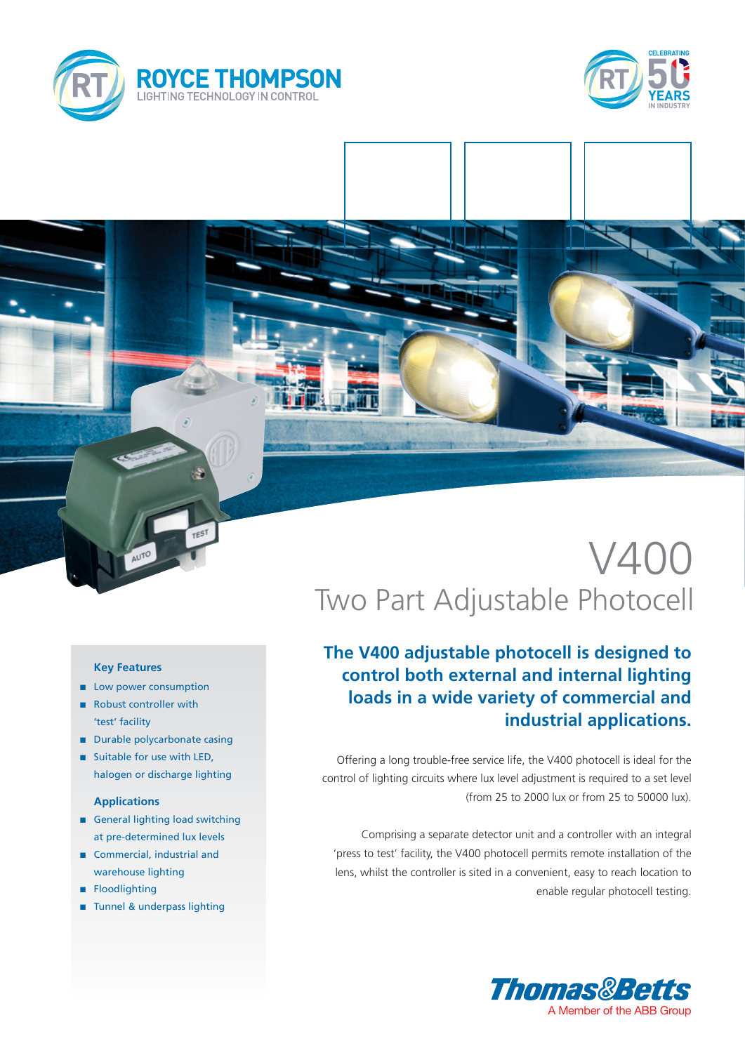



# V400 Two Part Adjustable Photocell

## **The V400 adjustable photocell is designed to control both external and internal lighting loads in a wide variety of commercial and industrial applications.**

Offering a long trouble-free service life, the V400 photocell is ideal for the control of lighting circuits where lux level adjustment is required to a set level (from 25 to 2000 lux or from 25 to 50000 lux).

Comprising a separate detector unit and a controller with an integral 'press to test' facility, the V400 photocell permits remote installation of the lens, whilst the controller is sited in a convenient, easy to reach location to enable regular photocell testing.



### **Key Features**

- **n** Low power consumption
- Robust controller with 'test' facility
- **n** Durable polycarbonate casing
- **n** Suitable for use with LED, halogen or discharge lighting

### **Applications**

- **n** General lighting load switching at pre-determined lux levels
- Commercial, industrial and warehouse lighting
- **n** Floodlighting
- Tunnel & underpass lighting